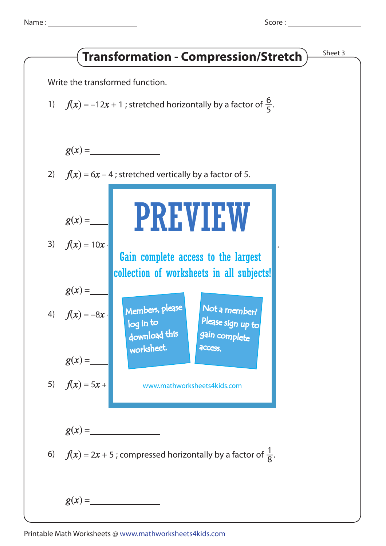